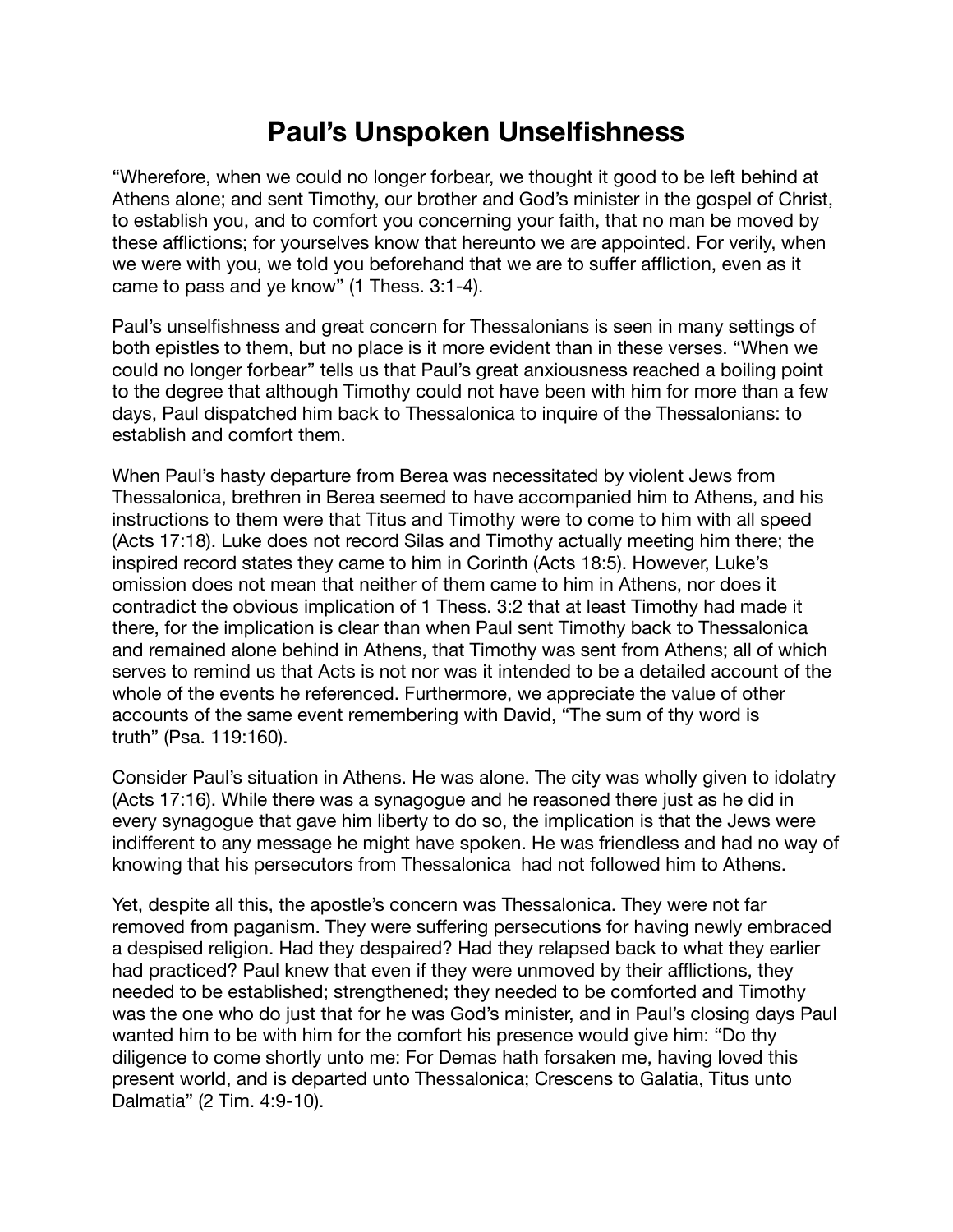## **Paul's Unspoken Unselfishness**

"Wherefore, when we could no longer forbear, we thought it good to be left behind at Athens alone; and sent Timothy, our brother and God's minister in the gospel of Christ, to establish you, and to comfort you concerning your faith, that no man be moved by these afflictions; for yourselves know that hereunto we are appointed. For verily, when we were with you, we told you beforehand that we are to suffer affliction, even as it came to pass and ye know" (1 Thess. 3:1-4).

Paul's unselfishness and great concern for Thessalonians is seen in many settings of both epistles to them, but no place is it more evident than in these verses. "When we could no longer forbear" tells us that Paul's great anxiousness reached a boiling point to the degree that although Timothy could not have been with him for more than a few days, Paul dispatched him back to Thessalonica to inquire of the Thessalonians: to establish and comfort them.

When Paul's hasty departure from Berea was necessitated by violent Jews from Thessalonica, brethren in Berea seemed to have accompanied him to Athens, and his instructions to them were that Titus and Timothy were to come to him with all speed (Acts 17:18). Luke does not record Silas and Timothy actually meeting him there; the inspired record states they came to him in Corinth (Acts 18:5). However, Luke's omission does not mean that neither of them came to him in Athens, nor does it contradict the obvious implication of 1 Thess. 3:2 that at least Timothy had made it there, for the implication is clear than when Paul sent Timothy back to Thessalonica and remained alone behind in Athens, that Timothy was sent from Athens; all of which serves to remind us that Acts is not nor was it intended to be a detailed account of the whole of the events he referenced. Furthermore, we appreciate the value of other accounts of the same event remembering with David, "The sum of thy word is truth" (Psa. 119:160).

Consider Paul's situation in Athens. He was alone. The city was wholly given to idolatry (Acts 17:16). While there was a synagogue and he reasoned there just as he did in every synagogue that gave him liberty to do so, the implication is that the Jews were indifferent to any message he might have spoken. He was friendless and had no way of knowing that his persecutors from Thessalonica had not followed him to Athens.

Yet, despite all this, the apostle's concern was Thessalonica. They were not far removed from paganism. They were suffering persecutions for having newly embraced a despised religion. Had they despaired? Had they relapsed back to what they earlier had practiced? Paul knew that even if they were unmoved by their afflictions, they needed to be established; strengthened; they needed to be comforted and Timothy was the one who do just that for he was God's minister, and in Paul's closing days Paul wanted him to be with him for the comfort his presence would give him: "Do thy diligence to come shortly unto me: For Demas hath forsaken me, having loved this present world, and is departed unto Thessalonica; Crescens to Galatia, Titus unto Dalmatia" (2 Tim. 4:9-10).